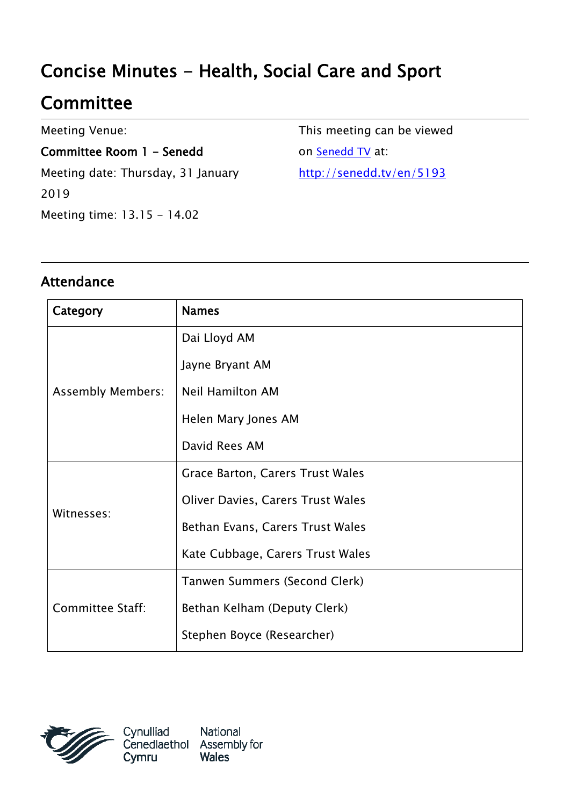# Concise Minutes - Health, Social Care and Sport

## **Committee**

Meeting Venue:

Committee Room 1 - Senedd Meeting date: Thursday, 31 January 2019 Meeting time: 13.15 - 14.02

This meeting can be viewed on [Senedd TV](http://senedd.tv/) at: http://senedd.tv/en/5193

#### Attendance

| Category                 | <b>Names</b>                             |
|--------------------------|------------------------------------------|
| <b>Assembly Members:</b> | Dai Lloyd AM                             |
|                          | Jayne Bryant AM                          |
|                          | <b>Neil Hamilton AM</b>                  |
|                          | Helen Mary Jones AM                      |
|                          | David Rees AM                            |
| Witnesses:               | Grace Barton, Carers Trust Wales         |
|                          | <b>Oliver Davies, Carers Trust Wales</b> |
|                          | Bethan Evans, Carers Trust Wales         |
|                          | Kate Cubbage, Carers Trust Wales         |
| <b>Committee Staff:</b>  | Tanwen Summers (Second Clerk)            |
|                          | Bethan Kelham (Deputy Clerk)             |
|                          | Stephen Boyce (Researcher)               |

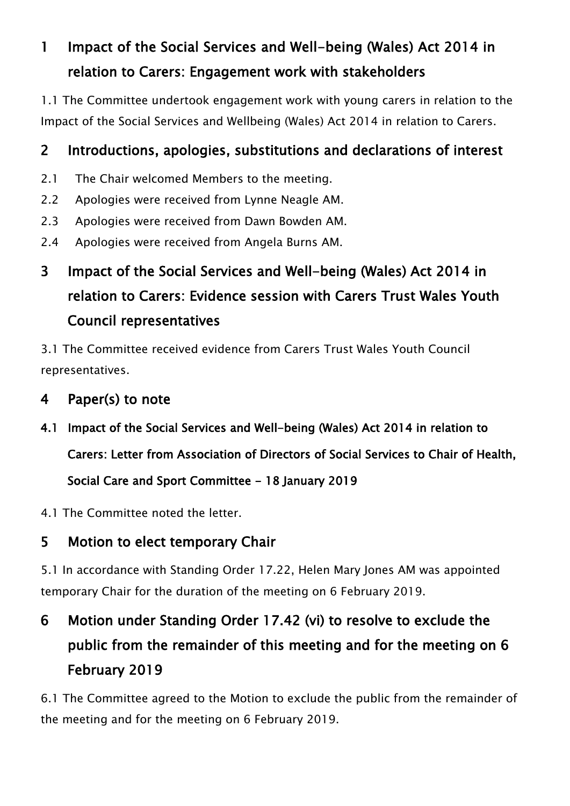#### 1 Impact of the Social Services and Well-being (Wales) Act 2014 in relation to Carers: Engagement work with stakeholders

1.1 The Committee undertook engagement work with young carers in relation to the Impact of the Social Services and Wellbeing (Wales) Act 2014 in relation to Carers.

#### 2 Introductions, apologies, substitutions and declarations of interest

- 2.1 The Chair welcomed Members to the meeting.
- 2.2 Apologies were received from Lynne Neagle AM.
- 2.3 Apologies were received from Dawn Bowden AM.
- 2.4 Apologies were received from Angela Burns AM.

## 3 Impact of the Social Services and Well-being (Wales) Act 2014 in relation to Carers: Evidence session with Carers Trust Wales Youth Council representatives

3.1 The Committee received evidence from Carers Trust Wales Youth Council representatives.

#### 4 Paper(s) to note

- 4.1 Impact of the Social Services and Well-being (Wales) Act 2014 in relation to Carers: Letter from Association of Directors of Social Services to Chair of Health, Social Care and Sport Committee - 18 January 2019
- 4.1 The Committee noted the letter.

#### 5 Motion to elect temporary Chair

5.1 In accordance with Standing Order 17.22, Helen Mary Jones AM was appointed temporary Chair for the duration of the meeting on 6 February 2019.

## 6 Motion under Standing Order 17.42 (vi) to resolve to exclude the public from the remainder of this meeting and for the meeting on 6 February 2019

6.1 The Committee agreed to the Motion to exclude the public from the remainder of the meeting and for the meeting on 6 February 2019.